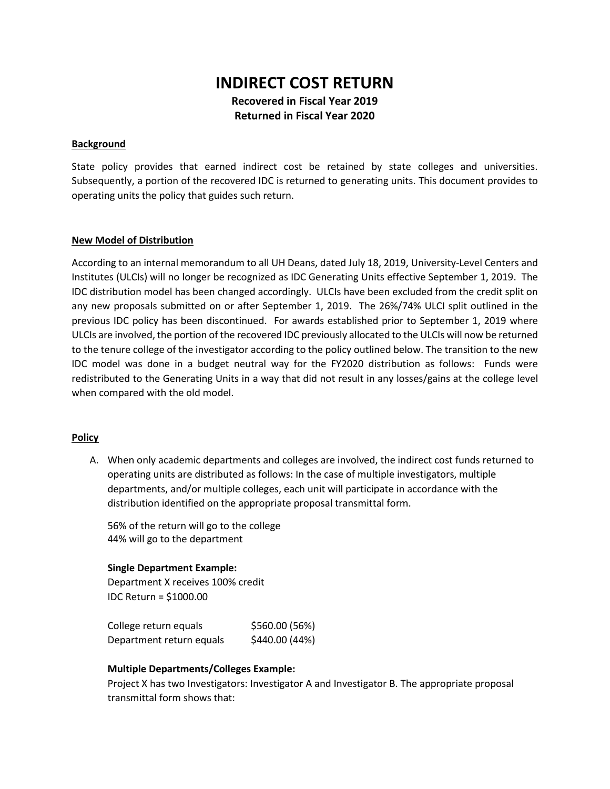# **INDIRECT COST RETURN Recovered in Fiscal Year 2019 Returned in Fiscal Year 2020**

#### **Background**

State policy provides that earned indirect cost be retained by state colleges and universities. Subsequently, a portion of the recovered IDC is returned to generating units. This document provides to operating units the policy that guides such return.

#### **New Model of Distribution**

According to an internal memorandum to all UH Deans, dated July 18, 2019, University-Level Centers and Institutes (ULCIs) will no longer be recognized as IDC Generating Units effective September 1, 2019. The IDC distribution model has been changed accordingly. ULCIs have been excluded from the credit split on any new proposals submitted on or after September 1, 2019. The 26%/74% ULCI split outlined in the previous IDC policy has been discontinued. For awards established prior to September 1, 2019 where ULCIs are involved, the portion of the recovered IDC previously allocated to the ULCIs will now be returned to the tenure college of the investigator according to the policy outlined below. The transition to the new IDC model was done in a budget neutral way for the FY2020 distribution as follows: Funds were redistributed to the Generating Units in a way that did not result in any losses/gains at the college level when compared with the old model.

# **Policy**

A. When only academic departments and colleges are involved, the indirect cost funds returned to operating units are distributed as follows: In the case of multiple investigators, multiple departments, and/or multiple colleges, each unit will participate in accordance with the distribution identified on the appropriate proposal transmittal form.

56% of the return will go to the college 44% will go to the department

# **Single Department Example:**

Department X receives 100% credit IDC Return = \$1000.00

College return equals  $$560.00$  (56%) Department return equals \$440.00 (44%)

# **Multiple Departments/Colleges Example:**

Project X has two Investigators: Investigator A and Investigator B. The appropriate proposal transmittal form shows that: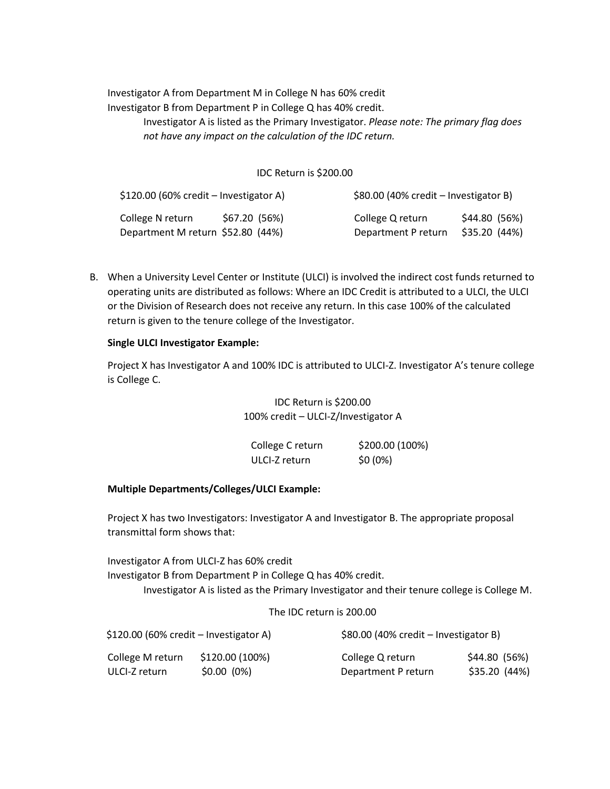Investigator A from Department M in College N has 60% credit Investigator B from Department P in College Q has 40% credit. Investigator A is listed as the Primary Investigator. *Please note: The primary flag does not have any impact on the calculation of the IDC return.*

#### IDC Return is \$200.00

| $$120.00$ (60% credit – Investigator A) |               | $$80.00$ (40% credit – Investigator B) |               |
|-----------------------------------------|---------------|----------------------------------------|---------------|
| College N return                        | \$67.20 (56%) | College Q return                       | \$44.80 (56%) |
| Department M return \$52.80 (44%)       |               | Department P return                    | \$35.20 (44%) |

B. When a University Level Center or Institute (ULCI) is involved the indirect cost funds returned to operating units are distributed as follows: Where an IDC Credit is attributed to a ULCI, the ULCI or the Division of Research does not receive any return. In this case 100% of the calculated return is given to the tenure college of the Investigator.

#### **Single ULCI Investigator Example:**

Project X has Investigator A and 100% IDC is attributed to ULCI-Z. Investigator A's tenure college is College C.

> IDC Return is \$200.00 100% credit – ULCI-Z/Investigator A

| College C return | \$200.00 (100%) |
|------------------|-----------------|
| ULCI-Z return    | $$0(0\%)$       |

# **Multiple Departments/Colleges/ULCI Example:**

Project X has two Investigators: Investigator A and Investigator B. The appropriate proposal transmittal form shows that:

Investigator A from ULCI-Z has 60% credit Investigator B from Department P in College Q has 40% credit. Investigator A is listed as the Primary Investigator and their tenure college is College M.

#### The IDC return is 200.00

| $$120.00$ (60% credit – Investigator A) |                 | $$80.00$ (40% credit – Investigator B) |               |
|-----------------------------------------|-----------------|----------------------------------------|---------------|
| College M return                        | \$120.00 (100%) | College Q return                       | \$44.80 (56%) |
| ULCI-Z return                           | $$0.00(0\%)$    | Department P return                    | \$35.20 (44%) |